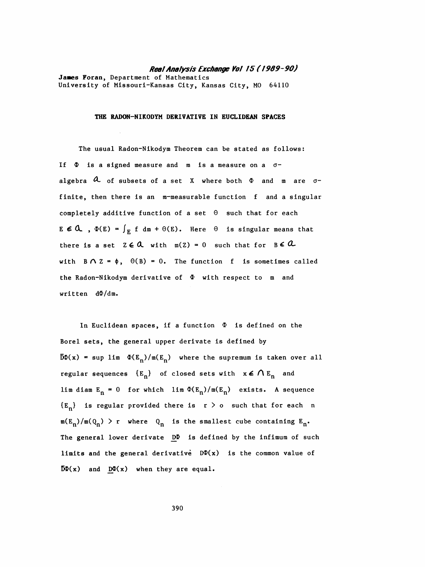## Real Analysis Exchange Vol /5 ( / 969-90)

 Janes Foran, Department of Mathematics University of Missouri-Kansas City, Kansas City, MO 64110

## THE RADON-NIKODYM DERIVATIVE IN EUCLIDEAN SPACES

 The usual Radon-Nikodym Theorem can be stated as follows: If  $\Phi$  is a signed measure and m is a measure on a  $\sigma$ algebra  $\alpha$  of subsets of a set X where both  $\Phi$  and m are  $\sigma$ finite, then there is an m-measurable function f and a singular completely additive function of a set  $\Theta$  such that for each  $E \in \mathcal{A}$ ,  $\Phi(E) = \int_E f dm + \Theta(E)$ . Here  $\Theta$  is singular means that there is a set  $Z \in \mathbb{Q}$  with  $m(Z) = 0$  such that for  $B \in \mathbb{Q}$ with  $B \cap Z = \phi$ ,  $\Theta(B) = 0$ . The function f is sometimes called the Radon-Nikodym derivative of  $\Phi$  with respect to m and written  $d\Phi/dm$ .

In Euclidean spaces, if a function  $\Phi$  is defined on the Borel sets, the general upper derivate is defined by  $\overline{D}\Phi(x)$  = sup lim  $\Phi(E_n)/m(E_n)$  where the supremum is taken over all regular sequences  ${E_n}$  of closed sets with  $x \in \bigwedge E_n$  and lim diam  $E_n = 0$  for which lim  $\Phi(E_n)/m(E_n)$  exists. A sequence  ${E_n}$  is regular provided there is  $r > o$  such that for each n  $m(E_n)/m(Q_n)$  > r where  $Q_n$  is the smallest cube containing  $E_n$ . The general lower derivate  $D\Phi$  is defined by the infimum of such limits and the general derivative  $D\Phi(x)$  is the common value of  $\overline{D}\Phi(x)$  and  $D\Phi(x)$  when they are equal.

390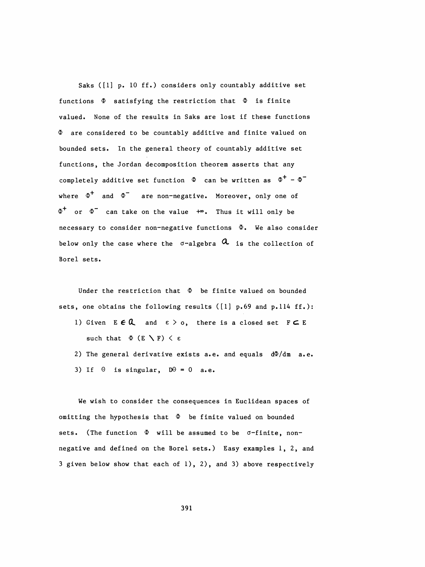Saks ([1] p. 10 ff.) considers only countably additive set functions  $\Phi$  satisfying the restriction that  $\Phi$  is finite valued. None of the results in Saks are lost if these functions  $\Phi$  are considered to be countably additive and finite valued on bounded sets. In the general theory of countably additive set functions, the Jordan decomposition theorem asserts that any completely additive set function  $\Phi$  can be written as  $\Phi^+ - \Phi^$ where  $\Phi^+$  and  $\Phi^-$  are non-negative. Moreover, only one of  $\Phi^+$  or  $\Phi^-$  can take on the value  $+\infty$ . Thus it will only be necessary to consider non-negative functions  $\Phi$ . We also consider below only the case where the  $\sigma$ -algebra  $\alpha$  is the collection of Borei sets.

Under the restriction that  $\Phi$  be finite valued on bounded sets, one obtains the following results ( $[1]$  p.69 and p.114 ff.):

- 1) Given  $E \in \mathbb{Q}$  and  $\epsilon > 0$ , there is a closed set  $F \subset E$ such that  $\Phi$  (E \F)  $\langle$   $\varepsilon$
- 2) The general derivative exists a.e. and equals  $d\Phi/dm$  a.e. 3) If  $\theta$  is singular,  $D\theta = 0$  a.e.

 We wish to consider the consequences in Euclidean spaces of omitting the hypothesis that  $\Phi$  be finite valued on bounded sets. (The function  $\Phi$  will be assumed to be  $\sigma$ -finite, non negative and defined on the Borei sets.) Easy examples 1, 2, and 3 given below show that each of 1), 2), and 3) above respectively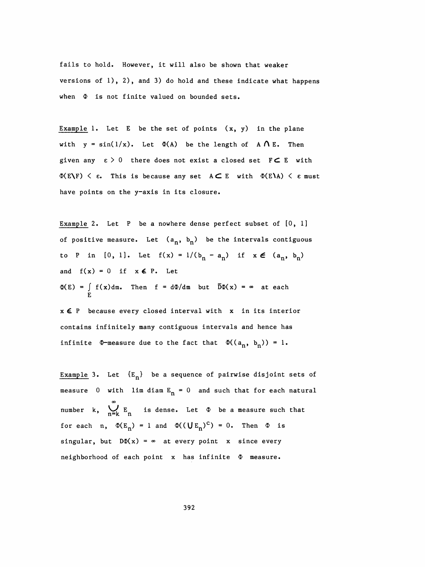fails to hold. However, it will also be shown that weaker versions of 1), 2), and 3) do hold and these indicate what happens when  $\Phi$  is not finite valued on bounded sets.

Example 1. Let  $E$  be the set of points  $(x, y)$  in the plane with  $y = sin(1/x)$ . Let  $\Phi(A)$  be the length of  $A \cap E$ . Then given any  $\varepsilon > 0$  there does not exist a closed set  $F \subset E$  with  $\Phi(E\setminus F)$   $\leq$   $\varepsilon$ . This is because any set  $A \subset E$  with  $\Phi(E\setminus A)$   $\leq$   $\varepsilon$  must have points on the y-axis in its closure.

Example 2. Let P be a nowhere dense perfect subset of [0, 1] of positive measure. Let  $(a_n, b_n)$  be the intervals contiguous to P in  $[0, 1]$ . Let  $f(x) = 1/(b_n - a_n)$  if  $x \in (a_n, b_n)$ and  $f(x) = 0$  if  $x \in P$ . Let  $\Phi(E) = \int_{E} f(x) dm$ . Then  $f = d\Phi/dm$  but  $\overline{D}\Phi(x) = \infty$  at each

 xč P because every closed interval with x in its interior contains infinitely many contiguous intervals and hence has infinite  $\Phi$ -measure due to the fact that  $\Phi((a_n, b_n)) = 1$ .

Example 3. Let  ${E_n}$  be a sequence of pairwise disjoint sets of measure 0 with lim diam  $E_n = 0$  and such that for each natural  $\infty$ number k,  $\sum_{n=k} E_n$  is dense. Let  $\Phi$  be a measure such that for each n,  $\Phi(E_n) = 1$  and  $\Phi((\bigcup E_n)^c) = 0$ . Then  $\Phi$  is singular, but  $D\Phi(x) = \infty$  at every point x since every neighborhood of each point  $x$  has infinite  $\Phi$  measure.

392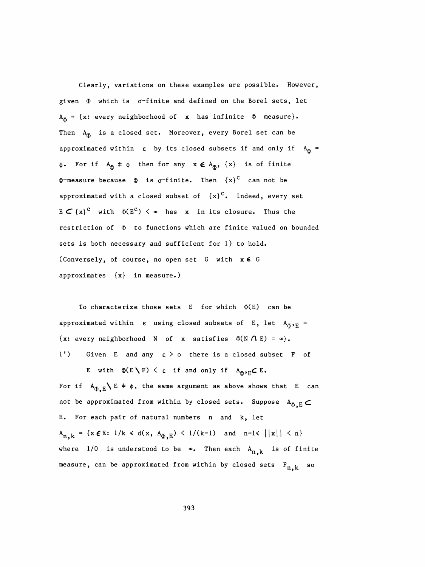Clearly, variations on these examples are possible. However, given  $\Phi$  which is  $\sigma$ -finite and defined on the Borel sets, let  $A_{\overline{\Phi}} = \{x: \text{ every neighborhood of } x \text{ has infinite } \Phi \text{ measure}\}.$ Then  $A_{\overline{0}}$  is a closed set. Moreover, every Borel set can be approximated within  $\varepsilon$  by its closed subsets if and only if  $A_{\overline{0}}$  =  $\phi$ . For if  $A_{\overline{\Phi}} \neq \phi$  then for any  $x \in A_{\overline{\Phi}}$ ,  $\{x\}$  is of finite  $\Phi$ -measure because  $\Phi$  is  $\sigma$ -finite. Then  ${x}^c$  can not be approximated with a closed subset of  ${x}^c$ . Indeed, every set  $E \subset {\{x\}}^C$  with  $\Phi(E^C) < \infty$  has x in its closure. Thus the restriction of  $\Phi$  to functions which are finite valued on bounded sets is both necessary and sufficient for 1) to hold. (Conversely, of course, no open set  $G$  with  $x \in G$ approximates {x} in measure.)

To characterize those sets  $E$  for which  $\Phi(E)$  can be approximated within  $\varepsilon$  using closed subsets of E, let  $A_{\bar{a}}, F_{E} =$ {x: every neighborhood N of x satisfies  $\Phi(N \cap E) = \infty$ }. 1') Given E and any  $\varepsilon > 0$  there is a closed subset F of

E with  $\Phi(E\setminus F) \leq \varepsilon$  if and only if  $A_{\Phi,E}C E$ . For if  $A_{\Phi,E} \setminus E \neq \phi$ , the same argument as above shows that E can not be approximated from within by closed sets. Suppose  $A_{\Phi, E}$  E. For each pair of natural numbers n and k, let  $A_{n,k} = \{x \in E: 1/k \le d(x, A_{\Phi,E}) \le 1/(k-1) \text{ and } n-1 \le ||x|| \le n\}$ where  $1/0$  is understood to be  $\infty$ . Then each  $A_{n,k}$  is of finite measure, can be approximated from within by closed sets  $F_{n,k}$  so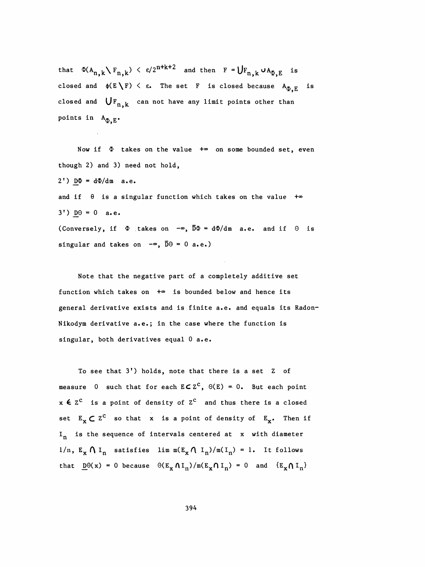that  $\Phi(A_{n,k}\setminus F_{n,k}) \leq \epsilon/2^{n+k+2}$  and then  $F=\bigcup F_{n,k}\cup A_{\Phi,E}$  is closed and  $\phi(E \setminus F) \leq \varepsilon$ . The set F is closed because  $A_{\Phi,E}$  is closed and  $\bigcup_{n,k}$  can not have any limit points other than points in  $A_{\Phi,E}$ .

Now if  $\Phi$  takes on the value  $+\infty$  on some bounded set, even though 2) and 3) need not hold,  $2')$  D $\Phi = d\Phi/dm$  a.e. and if  $\theta$  is a singular function which takes on the value  $+\infty$  $3'$ )  $\underline{D}\Theta = 0$  a.e. (Conversely, if  $\Phi$  takes on  $-\infty$ ,  $\overline{D}\Phi = d\Phi/dm$  a.e. and if  $\Theta$  is singular and takes on  $-\infty$ ,  $\overline{D}\Theta = 0$  a.e.)

 Note that the negative part of a completely additive set function which takes on  $+\infty$  is bounded below and hence its general derivative exists and is finite a.e. and equals its Radon- Nikodym derivative a.e.; in the case where the function is singular, both derivatives equal 0 a.e.

To see that 3') holds, note that there is a set Z of measure 0 such that for each  $ECZ^C$ ,  $\Theta(E) = 0$ . But each point  $x \in Z^C$  is a point of density of  $Z^C$  and thus there is a closed set  $E_x \subset Z^C$  so that x is a point of density of  $E_x$ . Then if  $I_n$  is the sequence of intervals centered at x with diameter 1/n,  $E_x \Lambda I_n$  satisfies lim  $m(E_x \Lambda I_n) / m(I_n) = 1$ . It follows<br>that  $\underline{D}\Theta(x) = 0$  because  $\Theta(E_x \Lambda I_n) / m(E_x \Lambda I_n) = 0$  and  $\{E_x \Lambda I_n\}$ set  $E_x \subset Z^c$  so that x is a point of density of  $E_x$ . Then if<br>  $I_n$  is the sequence of intervals centered at x with diameter<br>  $1/n$ ,  $E_x \cap I_n$  satisfies  $\lim_{n \to \infty} n(E_x \cap I_n) / m(I_n) = 1$ . It follows<br>
that  $\underline{D}(\theta(x)) = 0$  becaus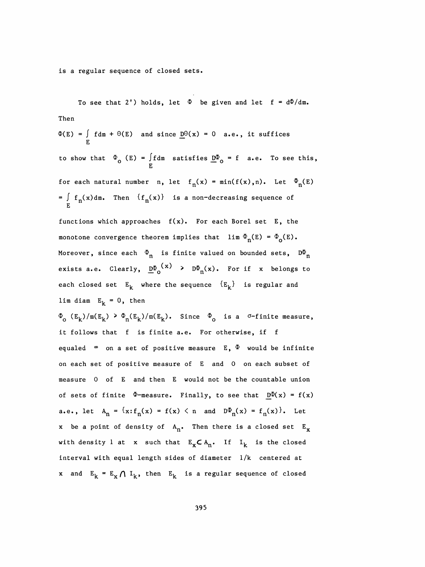is a regular sequence of closed sets.

To see that 2') holds, let  $\Phi$  be given and let f =  $d\Phi/dm$ . Then  $\Phi(E)$  =  $\int f dm + \Theta(E)$  and since  $\underline{D} \Theta(x) = 0$  a.e., it suffices E to show that  $\frac{1}{2}$  (E) = Jidm satisfies  $\frac{D}{2}$  o see the set of  $\frac{D}{2}$ for each natural number n, let  $f_n(x) = min(f(x),n)$ . Let  $\Phi_n(E)$  $=$   $\int$   $f_n(x)$  dm. Then  $(f_n(x))$  is a non-decreasing sequence of  $\int$ functions which approaches  $f(x)$ . For each Borel set E, the monotone convergence theorem implies that  $\lim_{n \to \infty} \Phi_n(E) = \Phi_0(E)$ . Moreover, since each  $\Phi_n$  is finite valued on bounded sets,  $D\Phi_n$ exists a.e. Clearly,  $\underline{D\Phi}_0(x)$  >  $D\Phi_n(x)$ . For if x belongs to each closed set  $E^{\text{R}}$  where the sequence  ${E^{\text{R}}$  is regular and lim diam  $E_k = 0$ , then  $\Phi_{\text{o}}$  (E<sub>k</sub>)/m(E<sub>k</sub>) >  $\Phi_{\text{n}}(E_k)/m(E_k)$ . Since  $\Phi_{\text{o}}$  is a <sup> $\sigma$ -finite measure,</sup> it follows that f is finite a.e. For otherwise, if f equaled  $\infty$  on a set of positive measure E,  $\Phi$  would be infinite

 on each set of positive measure of E and 0 on each subset of measure 0 of E and then E would not be the countable union of sets of finite  $\Phi$ -measure. Finally, to see that  $D\Phi(x) = f(x)$ a.e., let  $A_n = \{x : f_n(x) = f(x) \le n \text{ and } D\Phi_n(x) = f_n(x)\}\.$  Let x be a point of density of  $A_n$ . Then there is a closed set  $E_x$ with density 1 at x such that  $E_x \subset A_n$ . If  $I_k$  is the closed interval with equal length sides of diameter 1/k centered at x and  $E_k = E_x \bigcap I_k$ , then  $E_k$  is a regular sequence of closed